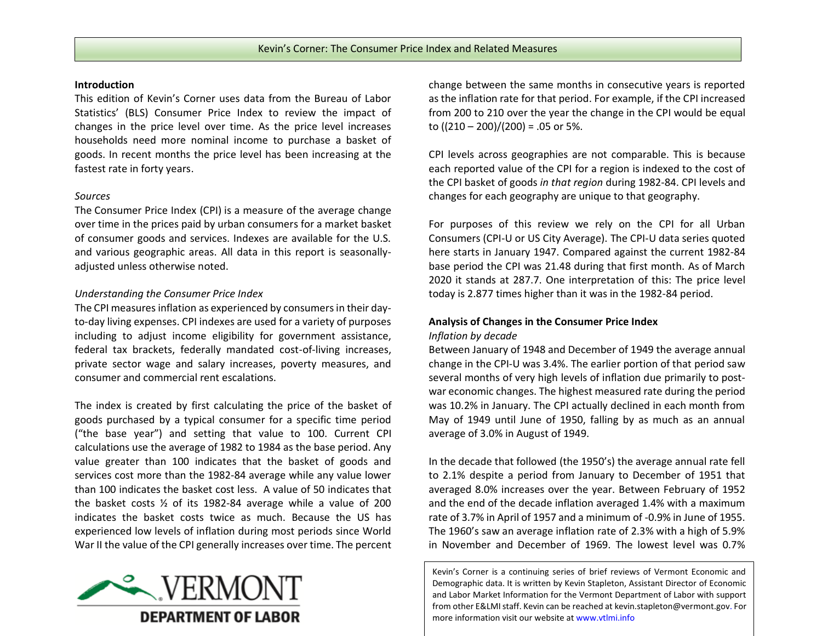### **Introduction**

This edition of Kevin's Corner uses data from the Bureau of Labor Statistics' (BLS) Consumer Price Index to review the impact of changes in the price level over time. As the price level increases households need more nominal income to purchase a basket of goods. In recent months the price level has been increasing at the fastest rate in forty years.

# *Sources*

The Consumer Price Index (CPI) is a measure of the average change over time in the prices paid by urban consumers for a market basket of consumer goods and services. Indexes are available for the U.S. and various geographic areas. All data in this report is seasonallyadjusted unless otherwise noted.

# *Understanding the Consumer Price Index*

The CPI measures inflation as experienced by consumers in their dayto-day living expenses. CPI indexes are used for a variety of purposes including to adjust income eligibility for government assistance, federal tax brackets, federally mandated cost-of-living increases, private sector wage and salary increases, poverty measures, and consumer and commercial rent escalations.

The index is created by first calculating the price of the basket of goods purchased by a typical consumer for a specific time period ("the base year") and setting that value to 100. Current CPI calculations use the average of 1982 to 1984 as the base period. Any value greater than 100 indicates that the basket of goods and services cost more than the 1982-84 average while any value lower than 100 indicates the basket cost less. A value of 50 indicates that the basket costs ½ of its 1982-84 average while a value of 200 indicates the basket costs twice as much. Because the US has experienced low levels of inflation during most periods since World War II the value of the CPI generally increases over time. The percent



change between the same months in consecutive years is reported as the inflation rate for that period. For example, if the CPI increased from 200 to 210 over the year the change in the CPI would be equal to  $((210 - 200)/(200) = .05$  or 5%.

CPI levels across geographies are not comparable. This is because each reported value of the CPI for a region is indexed to the cost of the CPI basket of goods *in that region* during 1982-84. CPI levels and changes for each geography are unique to that geography.

For purposes of this review we rely on the CPI for all Urban Consumers (CPI-U or US City Average). The CPI-U data series quoted here starts in January 1947. Compared against the current 1982-84 base period the CPI was 21.48 during that first month. As of March 2020 it stands at 287.7. One interpretation of this: The price level today is 2.877 times higher than it was in the 1982-84 period.

# **Analysis of Changes in the Consumer Price Index** *Inflation by decade*

Between January of 1948 and December of 1949 the average annual change in the CPI-U was 3.4%. The earlier portion of that period saw several months of very high levels of inflation due primarily to postwar economic changes. The highest measured rate during the period was 10.2% in January. The CPI actually declined in each month from May of 1949 until June of 1950, falling by as much as an annual average of 3.0% in August of 1949.

In the decade that followed (the 1950's) the average annual rate fell to 2.1% despite a period from January to December of 1951 that averaged 8.0% increases over the year. Between February of 1952 and the end of the decade inflation averaged 1.4% with a maximum rate of 3.7% in April of 1957 and a minimum of -0.9% in June of 1955. The 1960's saw an average inflation rate of 2.3% with a high of 5.9% in November and December of 1969. The lowest level was 0.7%

Kevin's Corner is a continuing series of brief reviews of Vermont Economic and Demographic data. It is written by Kevin Stapleton, Assistant Director of Economic and Labor Market Information for the Vermont Department of Labor with support from other E&LMI staff. Kevin can be reached a[t kevin.stapleton@vermont.gov.](mailto:kevin.stapleton@vermont.gov) For more information visit our website at www.vtlmi.info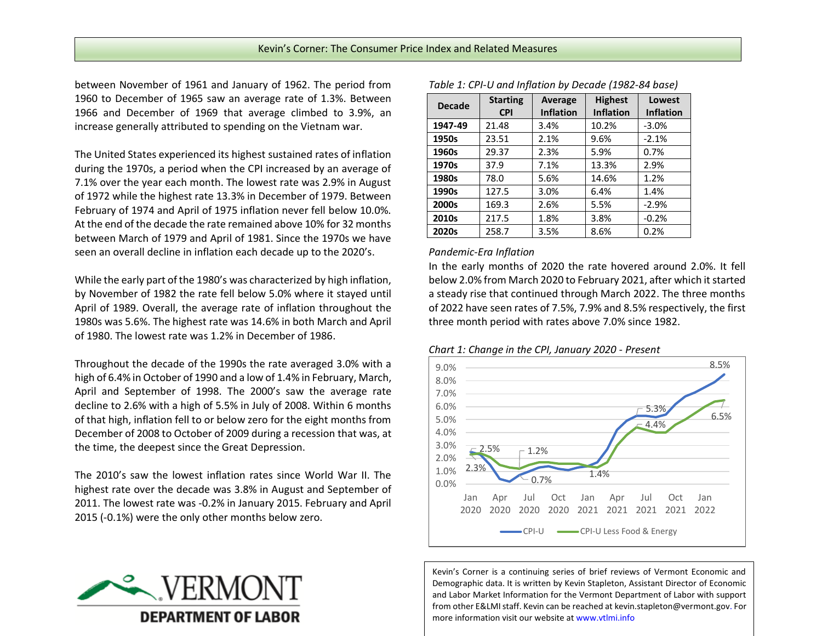between November of 1961 and January of 1962. The period from 1960 to December of 1965 saw an average rate of 1.3%. Between 1966 and December of 1969 that average climbed to 3.9%, an increase generally attributed to spending on the Vietnam war.

The United States experienced its highest sustained rates of inflation during the 1970s, a period when the CPI increased by an average of 7.1% over the year each month. The lowest rate was 2.9% in August of 1972 while the highest rate 13.3% in December of 1979. Between February of 1974 and April of 1975 inflation never fell below 10.0%. At the end of the decade the rate remained above 10% for 32 months between March of 1979 and April of 1981. Since the 1970s we have seen an overall decline in inflation each decade up to the 2020's.

While the early part of the 1980's was characterized by high inflation, by November of 1982 the rate fell below 5.0% where it stayed until April of 1989. Overall, the average rate of inflation throughout the 1980s was 5.6%. The highest rate was 14.6% in both March and April of 1980. The lowest rate was 1.2% in December of 1986.

Throughout the decade of the 1990s the rate averaged 3.0% with a high of 6.4% in October of 1990 and a low of 1.4% in February, March, April and September of 1998. The 2000's saw the average rate decline to 2.6% with a high of 5.5% in July of 2008. Within 6 months of that high, inflation fell to or below zero for the eight months from December of 2008 to October of 2009 during a recession that was, at the time, the deepest since the Great Depression.

The 2010's saw the lowest inflation rates since World War II. The highest rate over the decade was 3.8% in August and September of 2011. The lowest rate was -0.2% in January 2015. February and April 2015 (-0.1%) were the only other months below zero.



| <b>Decade</b> | <b>Starting</b><br><b>CPI</b> | Average<br><b>Inflation</b> | <b>Highest</b><br><b>Inflation</b> | Lowest<br><b>Inflation</b> |
|---------------|-------------------------------|-----------------------------|------------------------------------|----------------------------|
| 1947-49       | 21.48                         | 3.4%                        | 10.2%                              | $-3.0%$                    |
| 1950s         | 23.51                         | 2.1%                        | 9.6%                               | $-2.1%$                    |
| 1960s         | 29.37                         | 2.3%                        | 5.9%                               | 0.7%                       |
| 1970s         | 37.9                          | 7.1%                        | 13.3%                              | 2.9%                       |
| 1980s         | 78.0                          | 5.6%                        | 14.6%                              | 1.2%                       |
| 1990s         | 127.5                         | 3.0%                        | 6.4%                               | 1.4%                       |
| 2000s         | 169.3                         | 2.6%                        | 5.5%                               | $-2.9%$                    |
| 2010s         | 217.5                         | 1.8%                        | 3.8%                               | $-0.2%$                    |
| 2020s         | 258.7                         | 3.5%                        | 8.6%                               | 0.2%                       |

*Table 1: CPI-U and Inflation by Decade (1982-84 base)*

#### *Pandemic-Era Inflation*

In the early months of 2020 the rate hovered around 2.0%. It fell below 2.0% from March 2020 to February 2021, after which it started a steady rise that continued through March 2022. The three months of 2022 have seen rates of 7.5%, 7.9% and 8.5% respectively, the first three month period with rates above 7.0% since 1982.

*Chart 1: Change in the CPI, January 2020 - Present*



Kevin's Corner is a continuing series of brief reviews of Vermont Economic and Demographic data. It is written by Kevin Stapleton, Assistant Director of Economic and Labor Market Information for the Vermont Department of Labor with support from other E&LMI staff. Kevin can be reached a[t kevin.stapleton@vermont.gov.](mailto:kevin.stapleton@vermont.gov) For more information visit our website at www.vtlmi.info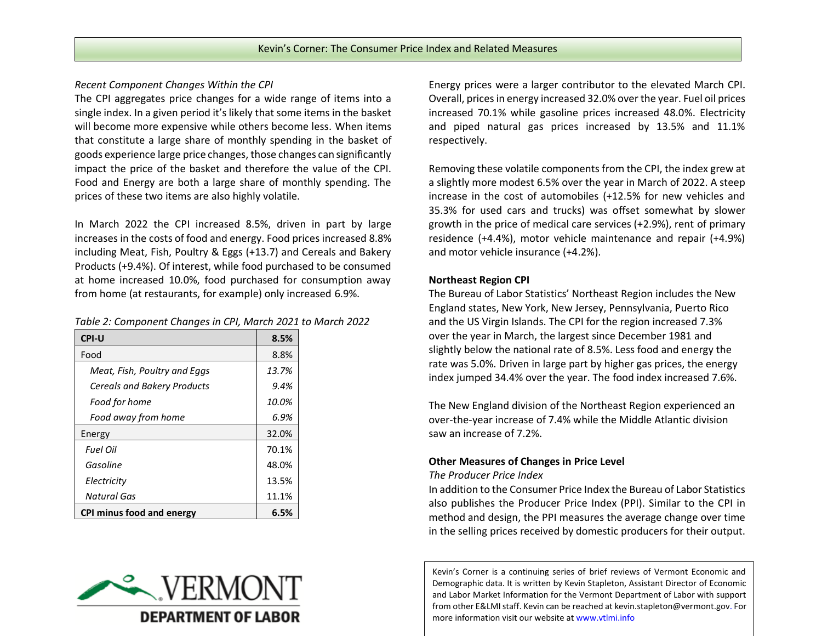# *Recent Component Changes Within the CPI*

The CPI aggregates price changes for a wide range of items into a single index. In a given period it's likely that some items in the basket will become more expensive while others become less. When items that constitute a large share of monthly spending in the basket of goods experience large price changes, those changes can significantly impact the price of the basket and therefore the value of the CPI. Food and Energy are both a large share of monthly spending. The prices of these two items are also highly volatile.

In March 2022 the CPI increased 8.5%, driven in part by large increases in the costs of food and energy. Food prices increased 8.8% including Meat, Fish, Poultry & Eggs (+13.7) and Cereals and Bakery Products (+9.4%). Of interest, while food purchased to be consumed at home increased 10.0%, food purchased for consumption away from home (at restaurants, for example) only increased 6.9%.

| <b>CPI-U</b>                       | 8.5%  |
|------------------------------------|-------|
| Food                               | 8.8%  |
| Meat, Fish, Poultry and Eggs       | 13.7% |
| <b>Cereals and Bakery Products</b> | 9.4%  |
| Food for home                      | 10.0% |
| Food away from home                | 6.9%  |
| Energy                             | 32.0% |
| Fuel Oil                           | 70.1% |
| Gasoline                           | 48.0% |
| Electricity                        | 13.5% |
| Natural Gas                        | 11.1% |
| CPI minus food and energy          | 6.5%  |



Energy prices were a larger contributor to the elevated March CPI. Overall, prices in energy increased 32.0% over the year. Fuel oil prices increased 70.1% while gasoline prices increased 48.0%. Electricity and piped natural gas prices increased by 13.5% and 11.1% respectively.

Removing these volatile components from the CPI, the index grew at a slightly more modest 6.5% over the year in March of 2022. A steep increase in the cost of automobiles (+12.5% for new vehicles and 35.3% for used cars and trucks) was offset somewhat by slower growth in the price of medical care services (+2.9%), rent of primary residence (+4.4%), motor vehicle maintenance and repair (+4.9%) and motor vehicle insurance (+4.2%).

### **Northeast Region CPI**

The Bureau of Labor Statistics' Northeast Region includes the New England states, New York, New Jersey, Pennsylvania, Puerto Rico and the US Virgin Islands. The CPI for the region increased 7.3% over the year in March, the largest since December 1981 and slightly below the national rate of 8.5%. Less food and energy the rate was 5.0%. Driven in large part by higher gas prices, the energy index jumped 34.4% over the year. The food index increased 7.6%.

The New England division of the Northeast Region experienced an over-the-year increase of 7.4% while the Middle Atlantic division saw an increase of 7.2%.

# **Other Measures of Changes in Price Level**

*The Producer Price Index*

In addition to the Consumer Price Index the Bureau of Labor Statistics also publishes the Producer Price Index (PPI). Similar to the CPI in method and design, the PPI measures the average change over time in the selling prices received by domestic producers for their output.

Kevin's Corner is a continuing series of brief reviews of Vermont Economic and Demographic data. It is written by Kevin Stapleton, Assistant Director of Economic and Labor Market Information for the Vermont Department of Labor with support from other E&LMI staff. Kevin can be reached a[t kevin.stapleton@vermont.gov.](mailto:kevin.stapleton@vermont.gov) For more information visit our website at www.vtlmi.info